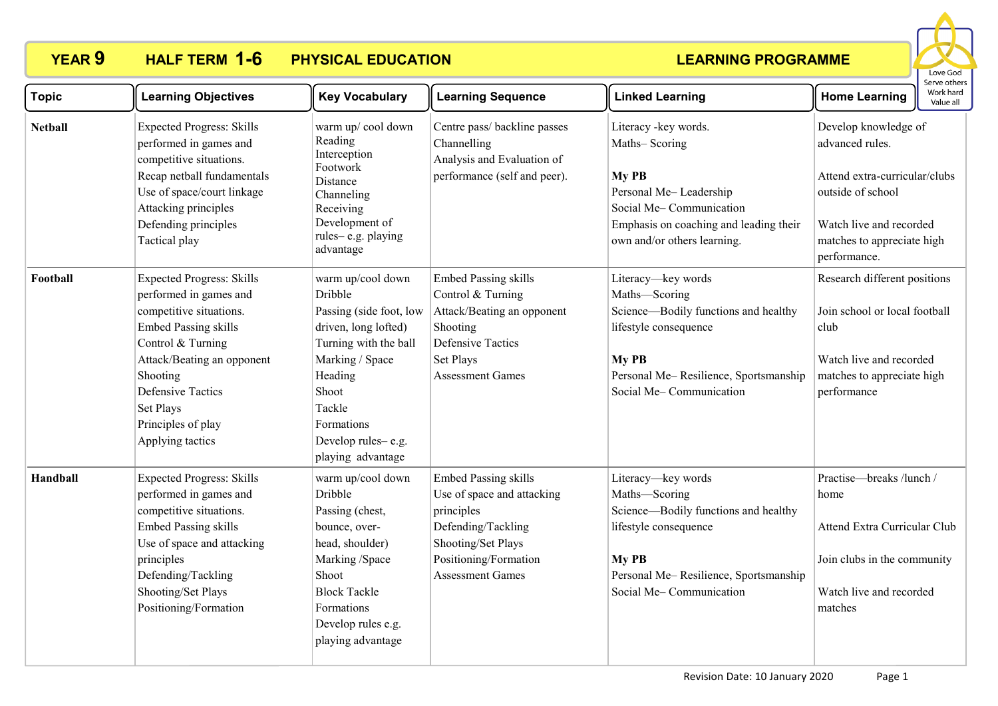

| <b>Topic</b>   | <b>Learning Objectives</b>                                                                                                                                                                                                                                             | <b>Key Vocabulary</b>                                                                                                                                                                                              | <b>Learning Sequence</b>                                                                                                                                                | <b>Linked Learning</b>                                                                                                                                                            | <b>Home Learning</b>                                                                                                                                                   | Serve others<br>Work hard<br>Value all |
|----------------|------------------------------------------------------------------------------------------------------------------------------------------------------------------------------------------------------------------------------------------------------------------------|--------------------------------------------------------------------------------------------------------------------------------------------------------------------------------------------------------------------|-------------------------------------------------------------------------------------------------------------------------------------------------------------------------|-----------------------------------------------------------------------------------------------------------------------------------------------------------------------------------|------------------------------------------------------------------------------------------------------------------------------------------------------------------------|----------------------------------------|
| <b>Netball</b> | <b>Expected Progress: Skills</b><br>performed in games and<br>competitive situations.<br>Recap netball fundamentals<br>Use of space/court linkage<br>Attacking principles<br>Defending principles<br>Tactical play                                                     | warm up/cool down<br>Reading<br>Interception<br>Footwork<br>Distance<br>Channeling<br>Receiving<br>Development of<br>rules-e.g. playing<br>advantage                                                               | Centre pass/ backline passes<br>Channelling<br>Analysis and Evaluation of<br>performance (self and peer).                                                               | Literacy - key words.<br>Maths-Scoring<br>My PB<br>Personal Me-Leadership<br>Social Me-Communication<br>Emphasis on coaching and leading their<br>own and/or others learning.     | Develop knowledge of<br>advanced rules.<br>Attend extra-curricular/clubs<br>outside of school<br>Watch live and recorded<br>matches to appreciate high<br>performance. |                                        |
| Football       | <b>Expected Progress: Skills</b><br>performed in games and<br>competitive situations.<br><b>Embed Passing skills</b><br>Control & Turning<br>Attack/Beating an opponent<br>Shooting<br><b>Defensive Tactics</b><br>Set Plays<br>Principles of play<br>Applying tactics | warm up/cool down<br>Dribble<br>Passing (side foot, low<br>driven, long lofted)<br>Turning with the ball<br>Marking / Space<br>Heading<br>Shoot<br>Tackle<br>Formations<br>Develop rules-e.g.<br>playing advantage | <b>Embed Passing skills</b><br>Control & Turning<br>Attack/Beating an opponent<br>Shooting<br><b>Defensive Tactics</b><br>Set Plays<br><b>Assessment Games</b>          | Literacy-key words<br>Maths-Scoring<br>Science-Bodily functions and healthy<br>lifestyle consequence<br>My PB<br>Personal Me-Resilience, Sportsmanship<br>Social Me-Communication | Research different positions<br>Join school or local football<br>club<br>Watch live and recorded<br>matches to appreciate high<br>performance                          |                                        |
| Handball       | <b>Expected Progress: Skills</b><br>performed in games and<br>competitive situations.<br><b>Embed Passing skills</b><br>Use of space and attacking<br>principles<br>Defending/Tackling<br>Shooting/Set Plays<br>Positioning/Formation                                  | warm up/cool down<br>Dribble<br>Passing (chest,<br>bounce, over-<br>head, shoulder)<br>Marking /Space<br>Shoot<br><b>Block Tackle</b><br>Formations<br>Develop rules e.g.<br>playing advantage                     | <b>Embed Passing skills</b><br>Use of space and attacking<br>principles<br>Defending/Tackling<br>Shooting/Set Plays<br>Positioning/Formation<br><b>Assessment Games</b> | Literacy-key words<br>Maths-Scoring<br>Science-Bodily functions and healthy<br>lifestyle consequence<br>My PB<br>Personal Me-Resilience, Sportsmanship<br>Social Me-Communication | Practise-breaks /lunch /<br>home<br>Attend Extra Curricular Club<br>Join clubs in the community<br>Watch live and recorded<br>matches                                  |                                        |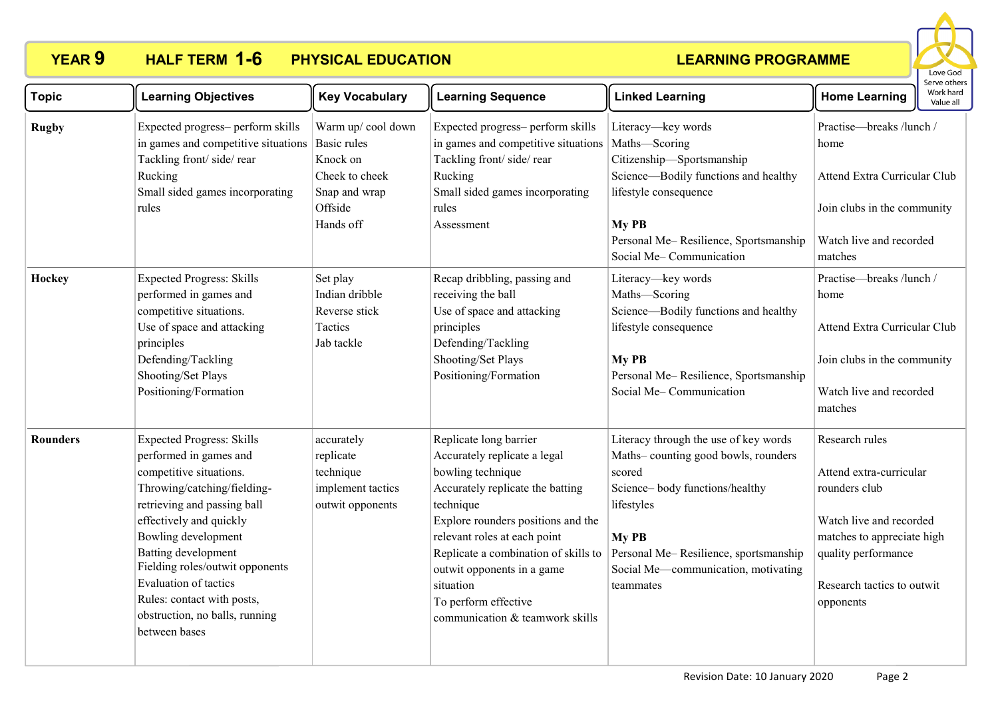

| <b>Topic</b> | <b>Learning Objectives</b>                                                                                                                                                                                                                                                                                                                                                | <b>Key Vocabulary</b>                                                                                          | <b>Learning Sequence</b>                                                                                                                                                                                                                                                                                                                         | <b>Linked Learning</b>                                                                                                                                                                                                                       | Serve others<br>Work hard<br><b>Home Learning</b><br>Value all                                                                                                                        |
|--------------|---------------------------------------------------------------------------------------------------------------------------------------------------------------------------------------------------------------------------------------------------------------------------------------------------------------------------------------------------------------------------|----------------------------------------------------------------------------------------------------------------|--------------------------------------------------------------------------------------------------------------------------------------------------------------------------------------------------------------------------------------------------------------------------------------------------------------------------------------------------|----------------------------------------------------------------------------------------------------------------------------------------------------------------------------------------------------------------------------------------------|---------------------------------------------------------------------------------------------------------------------------------------------------------------------------------------|
| <b>Rugby</b> | Expected progress- perform skills<br>in games and competitive situations<br>Tackling front/side/rear<br>Rucking<br>Small sided games incorporating<br>rules                                                                                                                                                                                                               | Warm up/cool down<br><b>Basic rules</b><br>Knock on<br>Cheek to cheek<br>Snap and wrap<br>Offside<br>Hands off | Expected progress- perform skills<br>in games and competitive situations<br>Tackling front/side/rear<br>Rucking<br>Small sided games incorporating<br>rules<br>Assessment                                                                                                                                                                        | Literacy-key words<br>Maths-Scoring<br>Citizenship-Sportsmanship<br>Science-Bodily functions and healthy<br>lifestyle consequence<br>My PB<br>Personal Me-Resilience, Sportsmanship<br>Social Me-Communication                               | Practise-breaks /lunch /<br>home<br>Attend Extra Curricular Club<br>Join clubs in the community<br>Watch live and recorded<br>matches                                                 |
| Hockey       | <b>Expected Progress: Skills</b><br>performed in games and<br>competitive situations.<br>Use of space and attacking<br>principles<br>Defending/Tackling<br>Shooting/Set Plays<br>Positioning/Formation                                                                                                                                                                    | Set play<br>Indian dribble<br>Reverse stick<br>Tactics<br>Jab tackle                                           | Recap dribbling, passing and<br>receiving the ball<br>Use of space and attacking<br>principles<br>Defending/Tackling<br>Shooting/Set Plays<br>Positioning/Formation                                                                                                                                                                              | Literacy-key words<br>Maths-Scoring<br>Science-Bodily functions and healthy<br>lifestyle consequence<br>My PB<br>Personal Me-Resilience, Sportsmanship<br>Social Me-Communication                                                            | Practise-breaks /lunch /<br>home<br>Attend Extra Curricular Club<br>Join clubs in the community<br>Watch live and recorded<br>matches                                                 |
| Rounders     | <b>Expected Progress: Skills</b><br>performed in games and<br>competitive situations.<br>Throwing/catching/fielding-<br>retrieving and passing ball<br>effectively and quickly<br>Bowling development<br>Batting development<br>Fielding roles/outwit opponents<br>Evaluation of tactics<br>Rules: contact with posts,<br>obstruction, no balls, running<br>between bases | accurately<br>replicate<br>technique<br>implement tactics<br>outwit opponents                                  | Replicate long barrier<br>Accurately replicate a legal<br>bowling technique<br>Accurately replicate the batting<br>technique<br>Explore rounders positions and the<br>relevant roles at each point<br>Replicate a combination of skills to<br>outwit opponents in a game<br>situation<br>To perform effective<br>communication & teamwork skills | Literacy through the use of key words<br>Maths-counting good bowls, rounders<br>scored<br>Science-body functions/healthy<br>lifestyles<br>My PB<br>Personal Me-Resilience, sportsmanship<br>Social Me-communication, motivating<br>teammates | Research rules<br>Attend extra-curricular<br>rounders club<br>Watch live and recorded<br>matches to appreciate high<br>quality performance<br>Research tactics to outwit<br>opponents |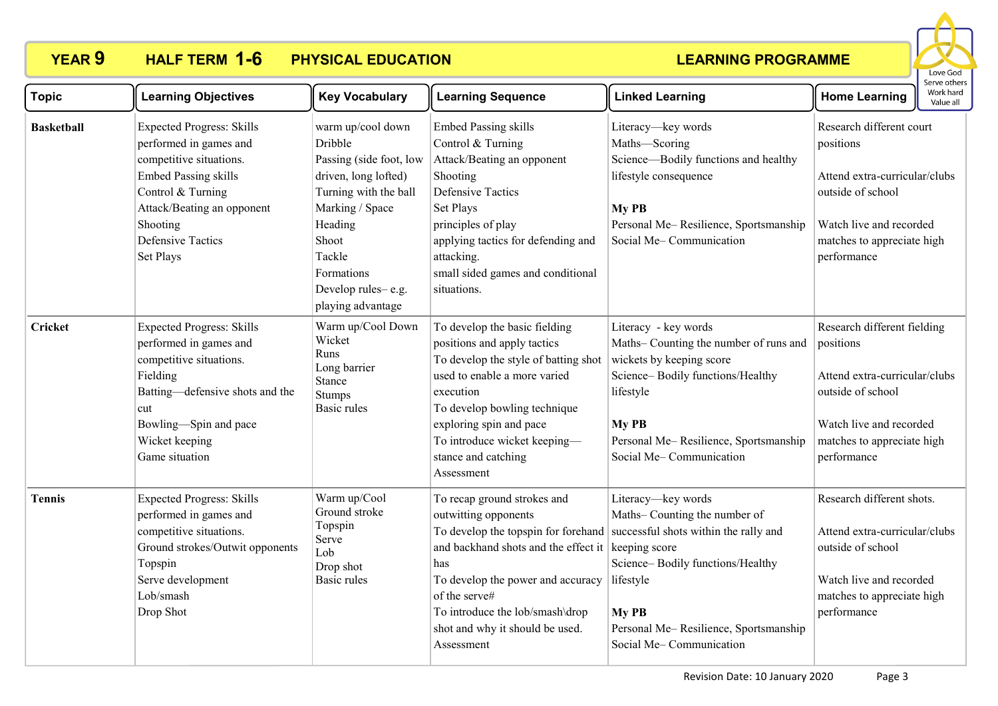

| <b>Topic</b>      | <b>Learning Objectives</b>                                                                                                                                                                                                   | <b>Key Vocabulary</b>                                                                                                                                                                                              | <b>Learning Sequence</b>                                                                                                                                                                                                                                                          | <b>Linked Learning</b>                                                                                                                                                                                                                                                         | <b>Home Learning</b>                                                                                                                                                   | Work hard<br>Value all |
|-------------------|------------------------------------------------------------------------------------------------------------------------------------------------------------------------------------------------------------------------------|--------------------------------------------------------------------------------------------------------------------------------------------------------------------------------------------------------------------|-----------------------------------------------------------------------------------------------------------------------------------------------------------------------------------------------------------------------------------------------------------------------------------|--------------------------------------------------------------------------------------------------------------------------------------------------------------------------------------------------------------------------------------------------------------------------------|------------------------------------------------------------------------------------------------------------------------------------------------------------------------|------------------------|
| <b>Basketball</b> | <b>Expected Progress: Skills</b><br>performed in games and<br>competitive situations.<br><b>Embed Passing skills</b><br>Control & Turning<br>Attack/Beating an opponent<br>Shooting<br><b>Defensive Tactics</b><br>Set Plays | warm up/cool down<br>Dribble<br>Passing (side foot, low<br>driven, long lofted)<br>Turning with the ball<br>Marking / Space<br>Heading<br>Shoot<br>Tackle<br>Formations<br>Develop rules-e.g.<br>playing advantage | <b>Embed Passing skills</b><br>Control & Turning<br>Attack/Beating an opponent<br>Shooting<br><b>Defensive Tactics</b><br>Set Plays<br>principles of play<br>applying tactics for defending and<br>attacking.<br>small sided games and conditional<br>situations.                 | Literacy-key words<br>Maths-Scoring<br>Science—Bodily functions and healthy<br>lifestyle consequence<br>My PB<br>Personal Me-Resilience, Sportsmanship<br>Social Me-Communication                                                                                              | Research different court<br>positions<br>Attend extra-curricular/clubs<br>outside of school<br>Watch live and recorded<br>matches to appreciate high<br>performance    |                        |
| <b>Cricket</b>    | <b>Expected Progress: Skills</b><br>performed in games and<br>competitive situations.<br>Fielding<br>Batting-defensive shots and the<br>cut<br>Bowling-Spin and pace<br>Wicket keeping<br>Game situation                     | Warm up/Cool Down<br>Wicket<br>Runs<br>Long barrier<br>Stance<br><b>Stumps</b><br>Basic rules                                                                                                                      | To develop the basic fielding<br>positions and apply tactics<br>To develop the style of batting shot<br>used to enable a more varied<br>execution<br>To develop bowling technique<br>exploring spin and pace<br>To introduce wicket keeping-<br>stance and catching<br>Assessment | Literacy - key words<br>Maths-Counting the number of runs and<br>wickets by keeping score<br>Science-Bodily functions/Healthy<br>lifestyle<br>My PB<br>Personal Me-Resilience, Sportsmanship<br>Social Me-Communication                                                        | Research different fielding<br>positions<br>Attend extra-curricular/clubs<br>outside of school<br>Watch live and recorded<br>matches to appreciate high<br>performance |                        |
| <b>Tennis</b>     | <b>Expected Progress: Skills</b><br>performed in games and<br>competitive situations.<br>Ground strokes/Outwit opponents<br>Topspin<br>Serve development<br>Lob/smash<br>Drop Shot                                           | Warm up/Cool<br>Ground stroke<br>Topspin<br>Serve<br>Lob<br>Drop shot<br><b>Basic rules</b>                                                                                                                        | To recap ground strokes and<br>outwitting opponents<br>and backhand shots and the effect it<br>has<br>To develop the power and accuracy<br>of the serve#<br>To introduce the lob/smash\drop<br>shot and why it should be used.<br>Assessment                                      | Literacy-key words<br>Maths-Counting the number of<br>To develop the topspin for forehand successful shots within the rally and<br>keeping score<br>Science-Bodily functions/Healthy<br>lifestyle<br>My PB<br>Personal Me-Resilience, Sportsmanship<br>Social Me-Communication | Research different shots.<br>Attend extra-curricular/clubs<br>outside of school<br>Watch live and recorded<br>matches to appreciate high<br>performance                |                        |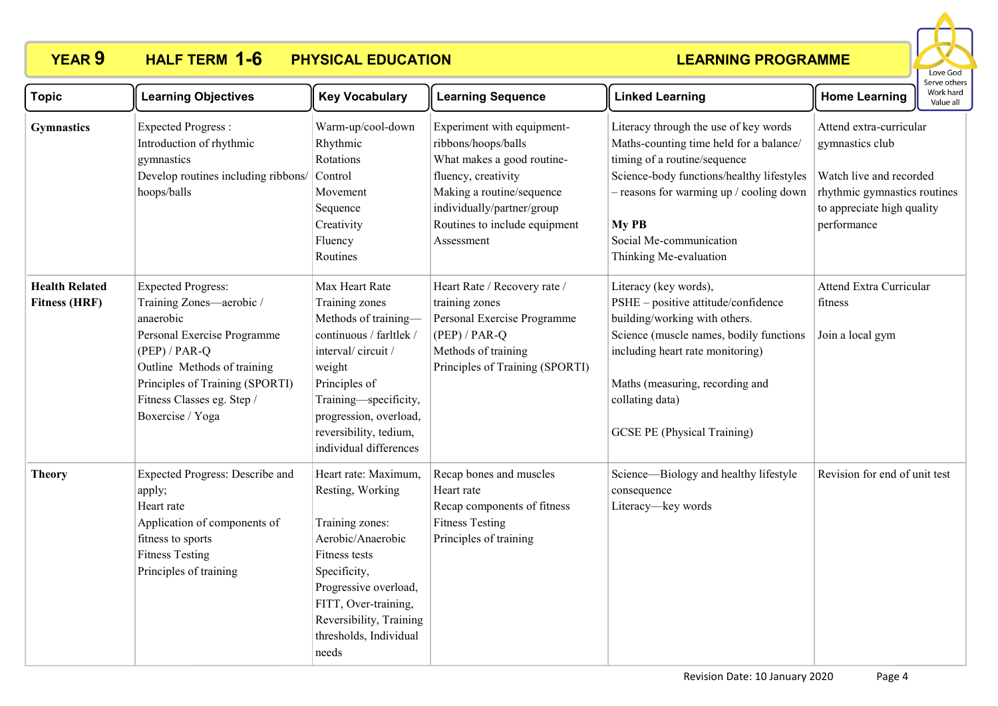

| <b>Topic</b>                                  | <b>Learning Objectives</b>                                                                                                                                                                                                               | <b>Key Vocabulary</b>                                                                                                                                                                                                                      | <b>Learning Sequence</b>                                                                                                                                                                                         | <b>Linked Learning</b>                                                                                                                                                                                                                                                   | <b>Home Learning</b>                                                                                                                               | Work hard<br>Value all |  |
|-----------------------------------------------|------------------------------------------------------------------------------------------------------------------------------------------------------------------------------------------------------------------------------------------|--------------------------------------------------------------------------------------------------------------------------------------------------------------------------------------------------------------------------------------------|------------------------------------------------------------------------------------------------------------------------------------------------------------------------------------------------------------------|--------------------------------------------------------------------------------------------------------------------------------------------------------------------------------------------------------------------------------------------------------------------------|----------------------------------------------------------------------------------------------------------------------------------------------------|------------------------|--|
| <b>Gymnastics</b>                             | <b>Expected Progress:</b><br>Introduction of rhythmic<br>gymnastics<br>Develop routines including ribbons/<br>hoops/balls                                                                                                                | Warm-up/cool-down<br>Rhythmic<br>Rotations<br>Control<br>Movement<br>Sequence<br>Creativity<br>Fluency<br>Routines                                                                                                                         | Experiment with equipment-<br>ribbons/hoops/balls<br>What makes a good routine-<br>fluency, creativity<br>Making a routine/sequence<br>individually/partner/group<br>Routines to include equipment<br>Assessment | Literacy through the use of key words<br>Maths-counting time held for a balance/<br>timing of a routine/sequence<br>Science-body functions/healthy lifestyles<br>- reasons for warming up / cooling down<br>My PB<br>Social Me-communication<br>Thinking Me-evaluation   | Attend extra-curricular<br>gymnastics club<br>Watch live and recorded<br>rhythmic gymnastics routines<br>to appreciate high quality<br>performance |                        |  |
| <b>Health Related</b><br><b>Fitness (HRF)</b> | <b>Expected Progress:</b><br>Training Zones-aerobic /<br>anaerobic<br>Personal Exercise Programme<br>$(PEP)$ / PAR-Q<br>Outline Methods of training<br>Principles of Training (SPORTI)<br>Fitness Classes eg. Step /<br>Boxercise / Yoga | Max Heart Rate<br>Training zones<br>Methods of training-<br>continuous / farltlek /<br>interval/circuit/<br>weight<br>Principles of<br>Training-specificity,<br>progression, overload,<br>reversibility, tedium,<br>individual differences | Heart Rate / Recovery rate /<br>training zones<br>Personal Exercise Programme<br>$(PEP)$ / PAR-Q<br>Methods of training<br>Principles of Training (SPORTI)                                                       | Literacy (key words),<br>PSHE - positive attitude/confidence<br>building/working with others.<br>Science (muscle names, bodily functions<br>including heart rate monitoring)<br>Maths (measuring, recording and<br>collating data)<br><b>GCSE PE (Physical Training)</b> | <b>Attend Extra Curricular</b><br>fitness<br>Join a local gym                                                                                      |                        |  |
| <b>Theory</b>                                 | <b>Expected Progress: Describe and</b><br>apply;<br>Heart rate<br>Application of components of<br>fitness to sports<br><b>Fitness Testing</b><br>Principles of training                                                                  | Heart rate: Maximum.<br>Resting, Working<br>Training zones:<br>Aerobic/Anaerobic<br>Fitness tests<br>Specificity,<br>Progressive overload,<br>FITT, Over-training,<br>Reversibility, Training<br>thresholds, Individual<br>needs           | Recap bones and muscles<br>Heart rate<br>Recap components of fitness<br><b>Fitness Testing</b><br>Principles of training                                                                                         | Science-Biology and healthy lifestyle<br>consequence<br>Literacy-key words                                                                                                                                                                                               | Revision for end of unit test                                                                                                                      |                        |  |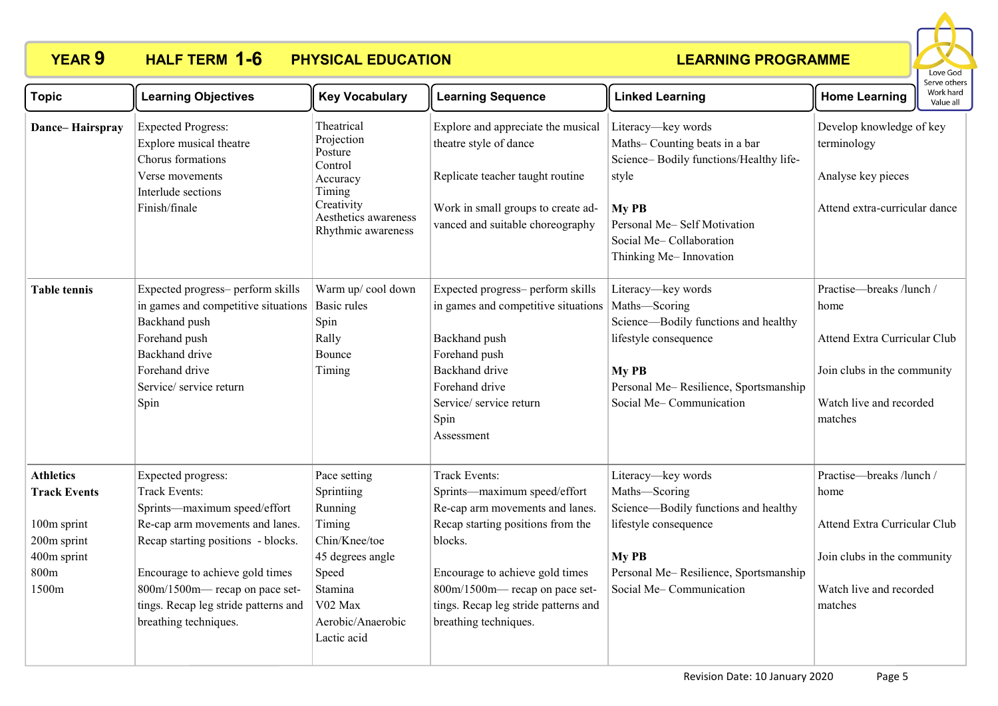

| <b>Topic</b>                                                                                          | <b>Learning Objectives</b>                                                                                                                                                                                                                                                                       | <b>Key Vocabulary</b>                                                                                                                                   | <b>Learning Sequence</b>                                                                                                                                                                                                                                                     | <b>Linked Learning</b>                                                                                                                                                                              | <b>Home Learning</b>                                                                                                                  | יכו עכ טנווכו.<br>Work hard<br>Value all |
|-------------------------------------------------------------------------------------------------------|--------------------------------------------------------------------------------------------------------------------------------------------------------------------------------------------------------------------------------------------------------------------------------------------------|---------------------------------------------------------------------------------------------------------------------------------------------------------|------------------------------------------------------------------------------------------------------------------------------------------------------------------------------------------------------------------------------------------------------------------------------|-----------------------------------------------------------------------------------------------------------------------------------------------------------------------------------------------------|---------------------------------------------------------------------------------------------------------------------------------------|------------------------------------------|
| Dance-Hairspray                                                                                       | <b>Expected Progress:</b><br>Explore musical theatre<br>Chorus formations<br>Verse movements<br>Interlude sections<br>Finish/finale                                                                                                                                                              | Theatrical<br>Projection<br>Posture<br>Control<br>Accuracy<br>Timing<br>Creativity<br>Aesthetics awareness<br>Rhythmic awareness                        | Explore and appreciate the musical<br>theatre style of dance<br>Replicate teacher taught routine<br>Work in small groups to create ad-<br>vanced and suitable choreography                                                                                                   | Literacy-key words<br>Maths-Counting beats in a bar<br>Science-Bodily functions/Healthy life-<br>style<br>My PB<br>Personal Me-Self Motivation<br>Social Me-Collaboration<br>Thinking Me-Innovation | Develop knowledge of key<br>terminology<br>Analyse key pieces<br>Attend extra-curricular dance                                        |                                          |
| <b>Table tennis</b>                                                                                   | Expected progress- perform skills<br>in games and competitive situations<br>Backhand push<br>Forehand push<br><b>Backhand</b> drive<br>Forehand drive<br>Service/service return<br>Spin                                                                                                          | Warm up/cool down<br><b>Basic rules</b><br>Spin<br>Rally<br>Bounce<br>Timing                                                                            | Expected progress- perform skills<br>in games and competitive situations<br>Backhand push<br>Forehand push<br><b>Backhand</b> drive<br>Forehand drive<br>Service/service return<br>Spin<br>Assessment                                                                        | Literacy-key words<br>Maths-Scoring<br>Science-Bodily functions and healthy<br>lifestyle consequence<br>My PB<br>Personal Me-Resilience, Sportsmanship<br>Social Me-Communication                   | Practise-breaks /lunch /<br>home<br>Attend Extra Curricular Club<br>Join clubs in the community<br>Watch live and recorded<br>matches |                                          |
| <b>Athletics</b><br><b>Track Events</b><br>100m sprint<br>200m sprint<br>400m sprint<br>800m<br>1500m | <b>Expected progress:</b><br><b>Track Events:</b><br>Sprints-maximum speed/effort<br>Re-cap arm movements and lanes.<br>Recap starting positions - blocks.<br>Encourage to achieve gold times<br>800m/1500m— recap on pace set-<br>tings. Recap leg stride patterns and<br>breathing techniques. | Pace setting<br>Sprintiing<br>Running<br>Timing<br>Chin/Knee/toe<br>45 degrees angle<br>Speed<br>Stamina<br>V02 Max<br>Aerobic/Anaerobic<br>Lactic acid | <b>Track Events:</b><br>Sprints-maximum speed/effort<br>Re-cap arm movements and lanes<br>Recap starting positions from the<br>blocks.<br>Encourage to achieve gold times<br>800m/1500m— recap on pace set-<br>tings. Recap leg stride patterns and<br>breathing techniques. | Literacy-key words<br>Maths-Scoring<br>Science—Bodily functions and healthy<br>lifestyle consequence<br>My PB<br>Personal Me-Resilience, Sportsmanship<br>Social Me-Communication                   | Practise-breaks /lunch /<br>home<br>Attend Extra Curricular Club<br>Join clubs in the community<br>Watch live and recorded<br>matches |                                          |